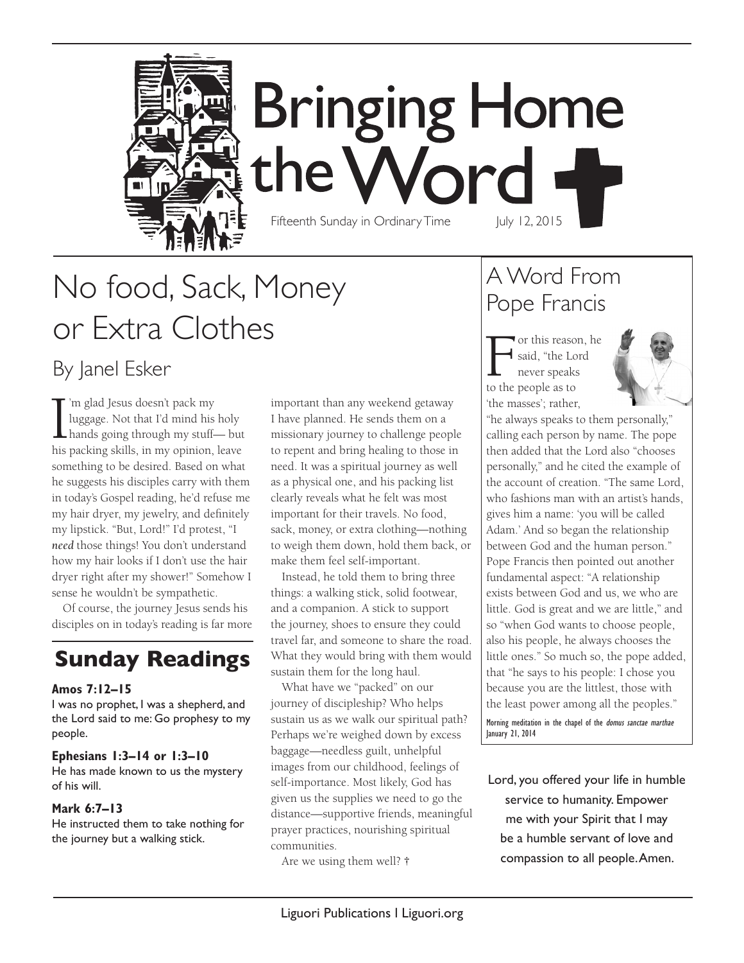

**Bringing Home** the Word Fifteenth Sunday in Ordinary Time July 12, 2015

# No food, Sack, Money or Extra Clothes

By Janel Esker

 $\prod_{\text{his}}$ 'm glad Jesus doesn't pack my luggage. Not that I'd mind his holy hands going through my stuff— but his packing skills, in my opinion, leave something to be desired. Based on what he suggests his disciples carry with them in today's Gospel reading, he'd refuse me my hair dryer, my jewelry, and definitely my lipstick. "But, Lord!" I'd protest, "I *need* those things! You don't understand how my hair looks if I don't use the hair dryer right after my shower!" Somehow I sense he wouldn't be sympathetic.

Of course, the journey Jesus sends his disciples on in today's reading is far more

## **Sunday Readings**

#### **Amos 7:12–15**

I was no prophet, I was a shepherd, and the Lord said to me: Go prophesy to my people.

#### **Ephesians 1:3–14 or 1:3–10**

He has made known to us the mystery of his will.

#### **Mark 6:7–13**

He instructed them to take nothing for the journey but a walking stick.

important than any weekend getaway I have planned. He sends them on a missionary journey to challenge people to repent and bring healing to those in need. It was a spiritual journey as well as a physical one, and his packing list clearly reveals what he felt was most important for their travels. No food, sack, money, or extra clothing—nothing to weigh them down, hold them back, or make them feel self-important.

Instead, he told them to bring three things: a walking stick, solid footwear, and a companion. A stick to support the journey, shoes to ensure they could travel far, and someone to share the road. What they would bring with them would sustain them for the long haul.

What have we "packed" on our journey of discipleship? Who helps sustain us as we walk our spiritual path? Perhaps we're weighed down by excess baggage—needless guilt, unhelpful images from our childhood, feelings of self-importance. Most likely, God has given us the supplies we need to go the distance—supportive friends, meaningful prayer practices, nourishing spiritual communities.

Are we using them well? **†**

### A Word From Pope Francis

For this reason, he said, "the Lord never speaks to the people as to 'the masses'; rather,



"he always speaks to them personally," calling each person by name. The pope then added that the Lord also "chooses personally," and he cited the example of the account of creation. "The same Lord, who fashions man with an artist's hands, gives him a name: 'you will be called Adam.' And so began the relationship between God and the human person." Pope Francis then pointed out another fundamental aspect: "A relationship exists between God and us, we who are little. God is great and we are little," and so "when God wants to choose people, also his people, he always chooses the little ones." So much so, the pope added, that "he says to his people: I chose you because you are the littlest, those with the least power among all the peoples."

Morning meditation in the chapel of the domus sanctae marthae January 21, 2014

Lord, you offered your life in humble service to humanity. Empower me with your Spirit that I may be a humble servant of love and compassion to all people. Amen.